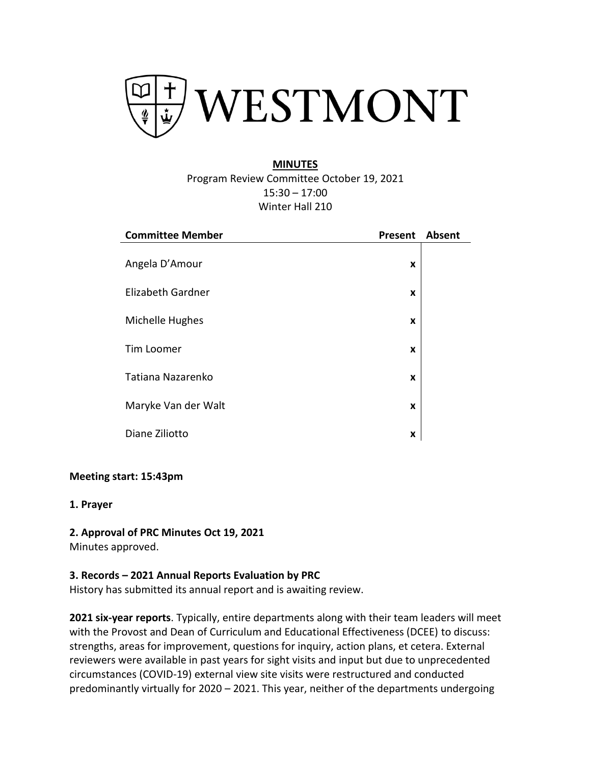

# **MINUTES**

Program Review Committee October 19, 2021 15:30 – 17:00 Winter Hall 210

| <b>Committee Member</b> | Present | <b>Absent</b> |
|-------------------------|---------|---------------|
| Angela D'Amour          | X       |               |
| Elizabeth Gardner       | X       |               |
| Michelle Hughes         | X       |               |
| Tim Loomer              | X       |               |
|                         |         |               |
| Tatiana Nazarenko       | X       |               |
| Maryke Van der Walt     | X       |               |
| Diane Ziliotto          | X       |               |

## **Meeting start: 15:43pm**

**1. Prayer**

**2. Approval of PRC Minutes Oct 19, 2021** Minutes approved.

## **3. Records – 2021 Annual Reports Evaluation by PRC**

History has submitted its annual report and is awaiting review.

**2021 six-year reports**. Typically, entire departments along with their team leaders will meet with the Provost and Dean of Curriculum and Educational Effectiveness (DCEE) to discuss: strengths, areas for improvement, questions for inquiry, action plans, et cetera. External reviewers were available in past years for sight visits and input but due to unprecedented circumstances (COVID-19) external view site visits were restructured and conducted predominantly virtually for 2020 – 2021. This year, neither of the departments undergoing